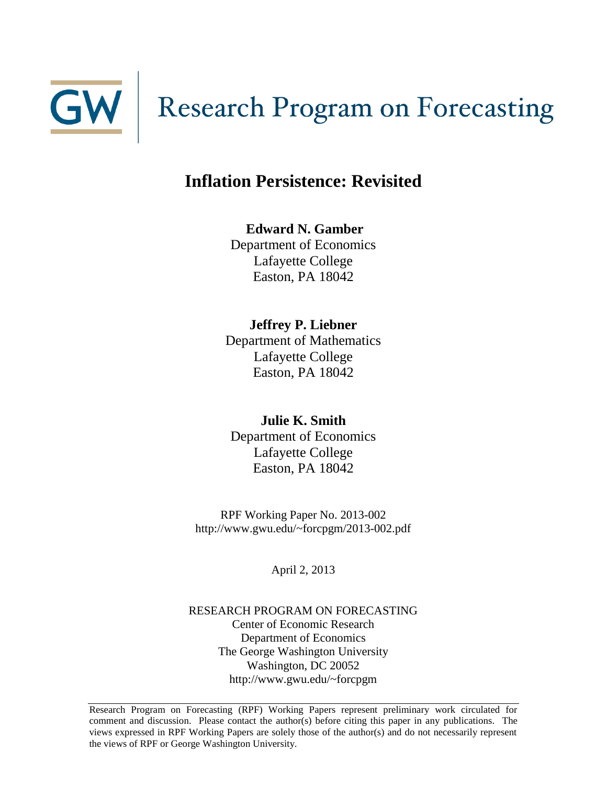

# **Research Program on Forecasting**

# **Inflation Persistence: Revisited**

**Edward N. Gamber** Department of Economics Lafayette College Easton, PA 18042

**Jeffrey P. Liebner** Department of Mathematics Lafayette College Easton, PA 18042

**Julie K. Smith** Department of Economics Lafayette College Easton, PA 18042

RPF Working Paper No. 2013-002 http://www.gwu.edu/~forcpgm/2013-002.pdf

April 2, 2013

RESEARCH PROGRAM ON FORECASTING Center of Economic Research Department of Economics The George Washington University Washington, DC 20052 http://www.gwu.edu/~forcpgm

Research Program on Forecasting (RPF) Working Papers represent preliminary work circulated for comment and discussion. Please contact the author(s) before citing this paper in any publications. The views expressed in RPF Working Papers are solely those of the author(s) and do not necessarily represent the views of RPF or George Washington University.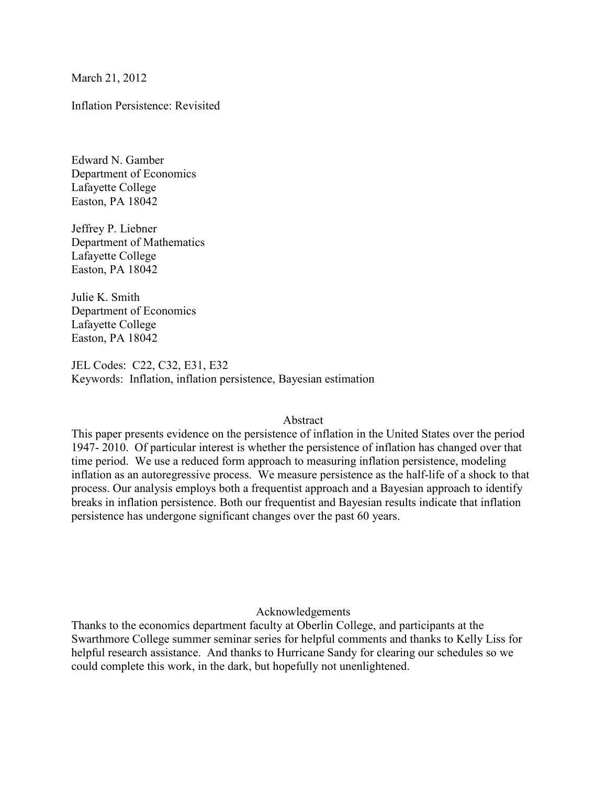March 21, 2012

Inflation Persistence: Revisited

Edward N. Gamber Department of Economics Lafayette College Easton, PA 18042

Jeffrey P. Liebner Department of Mathematics Lafayette College Easton, PA 18042

Julie K. Smith Department of Economics Lafayette College Easton, PA 18042

JEL Codes: C22, C32, E31, E32 Keywords: Inflation, inflation persistence, Bayesian estimation

#### Abstract

This paper presents evidence on the persistence of inflation in the United States over the period 1947- 2010. Of particular interest is whether the persistence of inflation has changed over that time period. We use a reduced form approach to measuring inflation persistence, modeling inflation as an autoregressive process. We measure persistence as the half-life of a shock to that process. Our analysis employs both a frequentist approach and a Bayesian approach to identify breaks in inflation persistence. Both our frequentist and Bayesian results indicate that inflation persistence has undergone significant changes over the past 60 years.

#### Acknowledgements

Thanks to the economics department faculty at Oberlin College, and participants at the Swarthmore College summer seminar series for helpful comments and thanks to Kelly Liss for helpful research assistance. And thanks to Hurricane Sandy for clearing our schedules so we could complete this work, in the dark, but hopefully not unenlightened.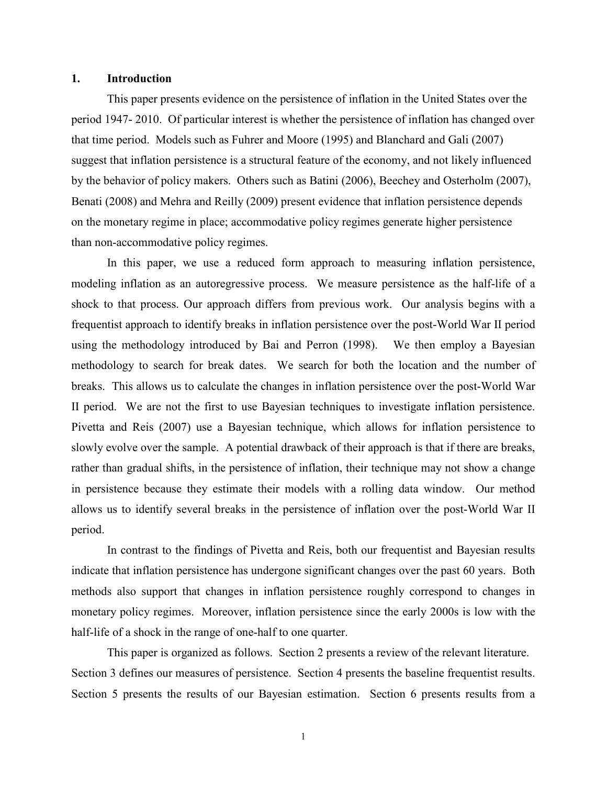#### **1. Introduction**

 This paper presents evidence on the persistence of inflation in the United States over the period 1947- 2010. Of particular interest is whether the persistence of inflation has changed over that time period. Models such as Fuhrer and Moore (1995) and Blanchard and Gali (2007) suggest that inflation persistence is a structural feature of the economy, and not likely influenced by the behavior of policy makers. Others such as Batini (2006), Beechey and Osterholm (2007), Benati (2008) and Mehra and Reilly (2009) present evidence that inflation persistence depends on the monetary regime in place; accommodative policy regimes generate higher persistence than non-accommodative policy regimes.

 In this paper, we use a reduced form approach to measuring inflation persistence, modeling inflation as an autoregressive process. We measure persistence as the half-life of a shock to that process. Our approach differs from previous work. Our analysis begins with a frequentist approach to identify breaks in inflation persistence over the post-World War II period using the methodology introduced by Bai and Perron (1998). We then employ a Bayesian methodology to search for break dates. We search for both the location and the number of breaks. This allows us to calculate the changes in inflation persistence over the post-World War II period. We are not the first to use Bayesian techniques to investigate inflation persistence. Pivetta and Reis (2007) use a Bayesian technique, which allows for inflation persistence to slowly evolve over the sample. A potential drawback of their approach is that if there are breaks, rather than gradual shifts, in the persistence of inflation, their technique may not show a change in persistence because they estimate their models with a rolling data window. Our method allows us to identify several breaks in the persistence of inflation over the post-World War II period.

In contrast to the findings of Pivetta and Reis, both our frequentist and Bayesian results indicate that inflation persistence has undergone significant changes over the past 60 years. Both methods also support that changes in inflation persistence roughly correspond to changes in monetary policy regimes. Moreover, inflation persistence since the early 2000s is low with the half-life of a shock in the range of one-half to one quarter.

This paper is organized as follows. Section 2 presents a review of the relevant literature. Section 3 defines our measures of persistence. Section 4 presents the baseline frequentist results. Section 5 presents the results of our Bayesian estimation. Section 6 presents results from a

1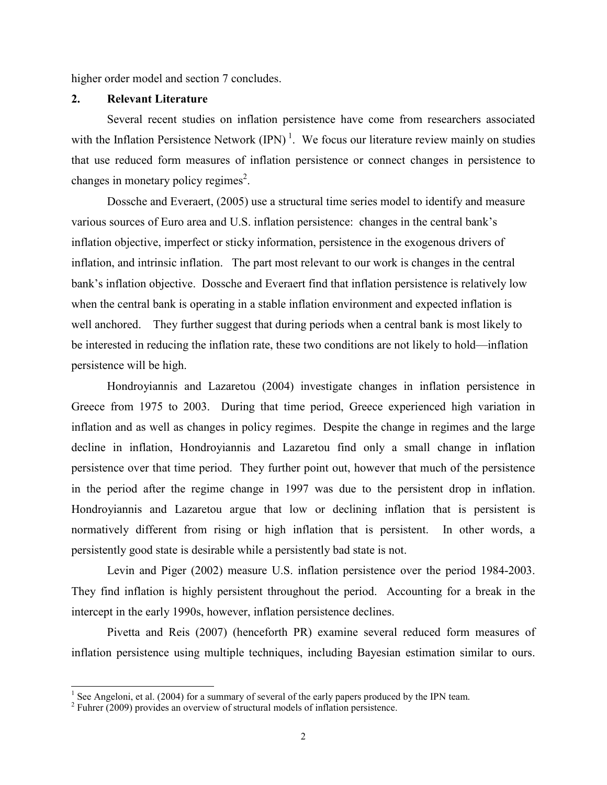higher order model and section 7 concludes.

# **2. Relevant Literature**

 Several recent studies on inflation persistence have come from researchers associated with the Inflation Persistence Network  $(IPN)^1$ . We focus our literature review mainly on studies that use reduced form measures of inflation persistence or connect changes in persistence to changes in monetary policy regimes<sup>2</sup>.

Dossche and Everaert, (2005) use a structural time series model to identify and measure various sources of Euro area and U.S. inflation persistence: changes in the central bank's inflation objective, imperfect or sticky information, persistence in the exogenous drivers of inflation, and intrinsic inflation. The part most relevant to our work is changes in the central bank's inflation objective. Dossche and Everaert find that inflation persistence is relatively low when the central bank is operating in a stable inflation environment and expected inflation is well anchored. They further suggest that during periods when a central bank is most likely to be interested in reducing the inflation rate, these two conditions are not likely to hold—inflation persistence will be high.

Hondroyiannis and Lazaretou (2004) investigate changes in inflation persistence in Greece from 1975 to 2003. During that time period, Greece experienced high variation in inflation and as well as changes in policy regimes. Despite the change in regimes and the large decline in inflation, Hondroyiannis and Lazaretou find only a small change in inflation persistence over that time period. They further point out, however that much of the persistence in the period after the regime change in 1997 was due to the persistent drop in inflation. Hondroyiannis and Lazaretou argue that low or declining inflation that is persistent is normatively different from rising or high inflation that is persistent. In other words, a persistently good state is desirable while a persistently bad state is not.

Levin and Piger (2002) measure U.S. inflation persistence over the period 1984-2003. They find inflation is highly persistent throughout the period. Accounting for a break in the intercept in the early 1990s, however, inflation persistence declines.

Pivetta and Reis (2007) (henceforth PR) examine several reduced form measures of inflation persistence using multiple techniques, including Bayesian estimation similar to ours.

 $\frac{1}{1}$  See Angeloni, et al. (2004) for a summary of several of the early papers produced by the IPN team.

<sup>&</sup>lt;sup>2</sup> Fuhrer (2009) provides an overview of structural models of inflation persistence.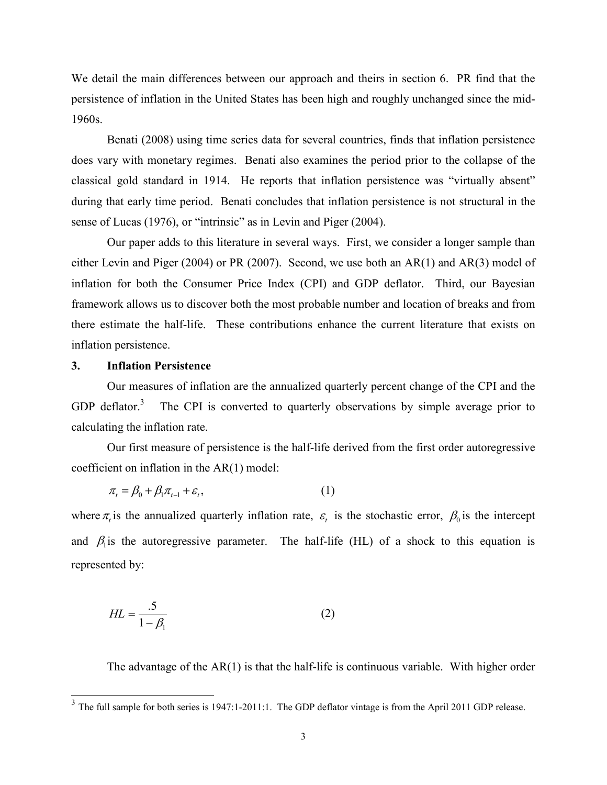We detail the main differences between our approach and theirs in section 6. PR find that the persistence of inflation in the United States has been high and roughly unchanged since the mid-1960s.

 Benati (2008) using time series data for several countries, finds that inflation persistence does vary with monetary regimes. Benati also examines the period prior to the collapse of the classical gold standard in 1914. He reports that inflation persistence was "virtually absent" during that early time period. Benati concludes that inflation persistence is not structural in the sense of Lucas (1976), or "intrinsic" as in Levin and Piger (2004).

 Our paper adds to this literature in several ways. First, we consider a longer sample than either Levin and Piger (2004) or PR (2007). Second, we use both an AR(1) and AR(3) model of inflation for both the Consumer Price Index (CPI) and GDP deflator. Third, our Bayesian framework allows us to discover both the most probable number and location of breaks and from there estimate the half-life. These contributions enhance the current literature that exists on inflation persistence.

# **3. Inflation Persistence**

 Our measures of inflation are the annualized quarterly percent change of the CPI and the GDP deflator.<sup>3</sup> The CPI is converted to quarterly observations by simple average prior to calculating the inflation rate.

 Our first measure of persistence is the half-life derived from the first order autoregressive coefficient on inflation in the AR(1) model:

$$
\pi_t = \beta_0 + \beta_1 \pi_{t-1} + \varepsilon_t, \tag{1}
$$

where  $\pi$ <sub>*t*</sub> is the annualized quarterly inflation rate,  $\varepsilon$ <sub>*t*</sub> is the stochastic error,  $\beta$ <sub>0</sub> is the intercept and  $\beta_1$  is the autoregressive parameter. The half-life (HL) of a shock to this equation is represented by:

$$
HL = \frac{.5}{1 - \beta_1} \tag{2}
$$

The advantage of the AR(1) is that the half-life is continuous variable. With higher order

<sup>&</sup>lt;sup>3</sup> The full sample for both series is 1947:1-2011:1. The GDP deflator vintage is from the April 2011 GDP release.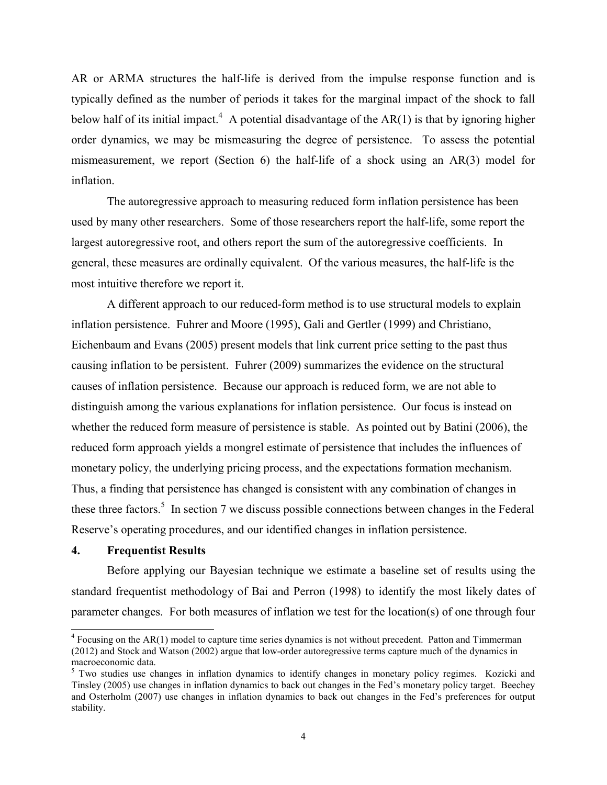AR or ARMA structures the half-life is derived from the impulse response function and is typically defined as the number of periods it takes for the marginal impact of the shock to fall below half of its initial impact.<sup>4</sup> A potential disadvantage of the  $AR(1)$  is that by ignoring higher order dynamics, we may be mismeasuring the degree of persistence. To assess the potential mismeasurement, we report (Section 6) the half-life of a shock using an AR(3) model for inflation.

 The autoregressive approach to measuring reduced form inflation persistence has been used by many other researchers. Some of those researchers report the half-life, some report the largest autoregressive root, and others report the sum of the autoregressive coefficients. In general, these measures are ordinally equivalent. Of the various measures, the half-life is the most intuitive therefore we report it.

 A different approach to our reduced-form method is to use structural models to explain inflation persistence. Fuhrer and Moore (1995), Gali and Gertler (1999) and Christiano, Eichenbaum and Evans (2005) present models that link current price setting to the past thus causing inflation to be persistent. Fuhrer (2009) summarizes the evidence on the structural causes of inflation persistence. Because our approach is reduced form, we are not able to distinguish among the various explanations for inflation persistence. Our focus is instead on whether the reduced form measure of persistence is stable. As pointed out by Batini (2006), the reduced form approach yields a mongrel estimate of persistence that includes the influences of monetary policy, the underlying pricing process, and the expectations formation mechanism. Thus, a finding that persistence has changed is consistent with any combination of changes in these three factors.<sup>5</sup> In section 7 we discuss possible connections between changes in the Federal Reserve's operating procedures, and our identified changes in inflation persistence.

# **4. Frequentist Results**

-

 Before applying our Bayesian technique we estimate a baseline set of results using the standard frequentist methodology of Bai and Perron (1998) to identify the most likely dates of parameter changes. For both measures of inflation we test for the location(s) of one through four

<sup>&</sup>lt;sup>4</sup> Focusing on the AR(1) model to capture time series dynamics is not without precedent. Patton and Timmerman (2012) and Stock and Watson (2002) argue that low-order autoregressive terms capture much of the dynamics in macroeconomic data.

<sup>&</sup>lt;sup>5</sup> Two studies use changes in inflation dynamics to identify changes in monetary policy regimes. Kozicki and Tinsley (2005) use changes in inflation dynamics to back out changes in the Fed's monetary policy target. Beechey and Osterholm (2007) use changes in inflation dynamics to back out changes in the Fed's preferences for output stability.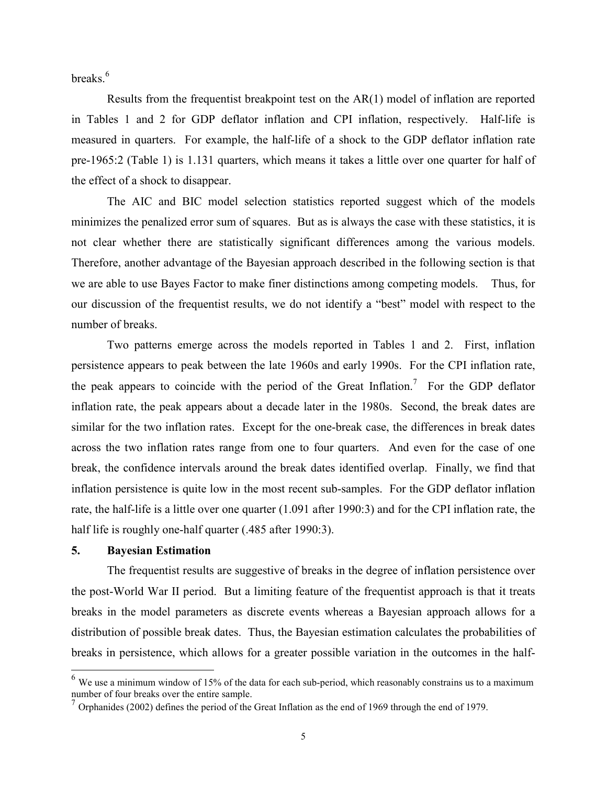breaks.<sup>6</sup>

 Results from the frequentist breakpoint test on the AR(1) model of inflation are reported in Tables 1 and 2 for GDP deflator inflation and CPI inflation, respectively. Half-life is measured in quarters. For example, the half-life of a shock to the GDP deflator inflation rate pre-1965:2 (Table 1) is 1.131 quarters, which means it takes a little over one quarter for half of the effect of a shock to disappear.

 The AIC and BIC model selection statistics reported suggest which of the models minimizes the penalized error sum of squares. But as is always the case with these statistics, it is not clear whether there are statistically significant differences among the various models. Therefore, another advantage of the Bayesian approach described in the following section is that we are able to use Bayes Factor to make finer distinctions among competing models. Thus, for our discussion of the frequentist results, we do not identify a "best" model with respect to the number of breaks.

Two patterns emerge across the models reported in Tables 1 and 2. First, inflation persistence appears to peak between the late 1960s and early 1990s. For the CPI inflation rate, the peak appears to coincide with the period of the Great Inflation.<sup>7</sup> For the GDP deflator inflation rate, the peak appears about a decade later in the 1980s. Second, the break dates are similar for the two inflation rates. Except for the one-break case, the differences in break dates across the two inflation rates range from one to four quarters. And even for the case of one break, the confidence intervals around the break dates identified overlap. Finally, we find that inflation persistence is quite low in the most recent sub-samples. For the GDP deflator inflation rate, the half-life is a little over one quarter (1.091 after 1990:3) and for the CPI inflation rate, the half life is roughly one-half quarter (.485 after 1990:3).

# **5. Bayesian Estimation**

-

The frequentist results are suggestive of breaks in the degree of inflation persistence over the post-World War II period. But a limiting feature of the frequentist approach is that it treats breaks in the model parameters as discrete events whereas a Bayesian approach allows for a distribution of possible break dates. Thus, the Bayesian estimation calculates the probabilities of breaks in persistence, which allows for a greater possible variation in the outcomes in the half-

 $<sup>6</sup>$  We use a minimum window of 15% of the data for each sub-period, which reasonably constrains us to a maximum</sup> number of four breaks over the entire sample.

 $<sup>7</sup>$  Orphanides (2002) defines the period of the Great Inflation as the end of 1969 through the end of 1979.</sup>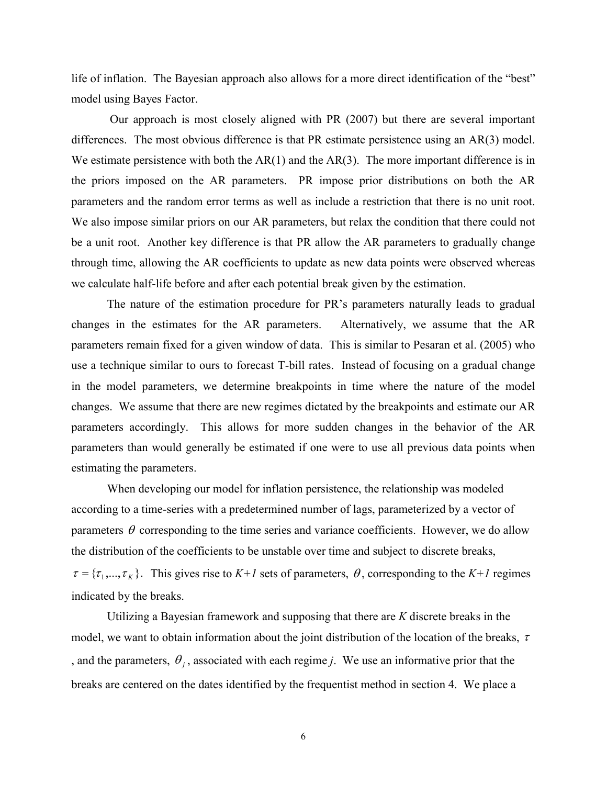life of inflation. The Bayesian approach also allows for a more direct identification of the "best" model using Bayes Factor.

 Our approach is most closely aligned with PR (2007) but there are several important differences. The most obvious difference is that PR estimate persistence using an AR(3) model. We estimate persistence with both the  $AR(1)$  and the  $AR(3)$ . The more important difference is in the priors imposed on the AR parameters. PR impose prior distributions on both the AR parameters and the random error terms as well as include a restriction that there is no unit root. We also impose similar priors on our AR parameters, but relax the condition that there could not be a unit root. Another key difference is that PR allow the AR parameters to gradually change through time, allowing the AR coefficients to update as new data points were observed whereas we calculate half-life before and after each potential break given by the estimation.

The nature of the estimation procedure for PR's parameters naturally leads to gradual changes in the estimates for the AR parameters. Alternatively, we assume that the AR parameters remain fixed for a given window of data. This is similar to Pesaran et al. (2005) who use a technique similar to ours to forecast T-bill rates. Instead of focusing on a gradual change in the model parameters, we determine breakpoints in time where the nature of the model changes. We assume that there are new regimes dictated by the breakpoints and estimate our AR parameters accordingly. This allows for more sudden changes in the behavior of the AR parameters than would generally be estimated if one were to use all previous data points when estimating the parameters.

When developing our model for inflation persistence, the relationship was modeled according to a time-series with a predetermined number of lags, parameterized by a vector of parameters  $\theta$  corresponding to the time series and variance coefficients. However, we do allow the distribution of the coefficients to be unstable over time and subject to discrete breaks,  $\tau = {\{\tau_1, ..., \tau_K\}}$ . This gives rise to  $K+1$  sets of parameters,  $\theta$ , corresponding to the  $K+1$  regimes indicated by the breaks.

 Utilizing a Bayesian framework and supposing that there are *K* discrete breaks in the model, we want to obtain information about the joint distribution of the location of the breaks,  $\tau$ , and the parameters,  $\theta_j$ , associated with each regime *j*. We use an informative prior that the breaks are centered on the dates identified by the frequentist method in section 4. We place a

6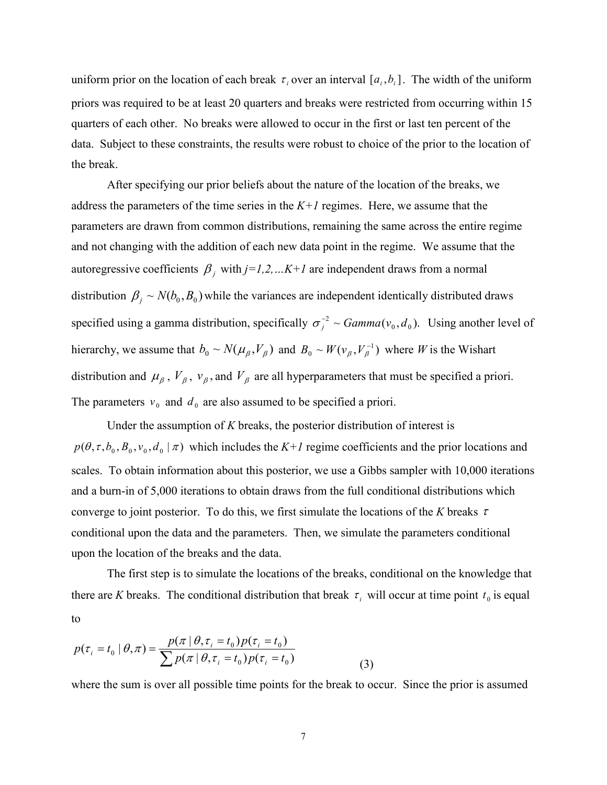uniform prior on the location of each break  $\tau_i$  over an interval  $[a_i, b_i]$ . The width of the uniform priors was required to be at least 20 quarters and breaks were restricted from occurring within 15 quarters of each other. No breaks were allowed to occur in the first or last ten percent of the data. Subject to these constraints, the results were robust to choice of the prior to the location of the break.

After specifying our prior beliefs about the nature of the location of the breaks, we address the parameters of the time series in the  $K+1$  regimes. Here, we assume that the parameters are drawn from common distributions, remaining the same across the entire regime and not changing with the addition of each new data point in the regime. We assume that the autoregressive coefficients  $\beta_j$  with  $j=1,2,...K+1$  are independent draws from a normal distribution  $\beta_j \sim N(b_0, B_0)$  while the variances are independent identically distributed draws specified using a gamma distribution, specifically  $\sigma_j^{-2} \sim \text{Gamma}(v_0, d_0)$ . Using another level of hierarchy, we assume that  $b_0 \sim N(\mu_\beta, V_\beta)$  and  $B_0 \sim W(\nu_\beta, V_\beta^{-1})$  where *W* is the Wishart distribution and  $\mu_{\beta}$ ,  $V_{\beta}$ ,  $v_{\beta}$ , and  $V_{\beta}$  are all hyperparameters that must be specified a priori. The parameters  $v_0$  and  $d_0$  are also assumed to be specified a priori.  $\boldsymbol{0}$  $B_0 \sim W(v_\beta, V_\beta^-)$ 

 Under the assumption of *K* breaks, the posterior distribution of interest is  $p(\theta, \tau, b_0, B_0, v_0, d_0 | \tau)$  which includes the  $K+1$  regime coefficients and the prior locations and scales. To obtain information about this posterior, we use a Gibbs sampler with 10,000 iterations and a burn-in of 5,000 iterations to obtain draws from the full conditional distributions which converge to joint posterior. To do this, we first simulate the locations of the *K* breaks τ conditional upon the data and the parameters. Then, we simulate the parameters conditional upon the location of the breaks and the data.

 The first step is to simulate the locations of the breaks, conditional on the knowledge that there are *K* breaks. The conditional distribution that break  $\tau_i$  will occur at time point  $t_0$  is equal to

$$
p(\tau_i = t_0 \mid \theta, \pi) = \frac{p(\pi \mid \theta, \tau_i = t_0) p(\tau_i = t_0)}{\sum p(\pi \mid \theta, \tau_i = t_0) p(\tau_i = t_0)}
$$
(3)

where the sum is over all possible time points for the break to occur. Since the prior is assumed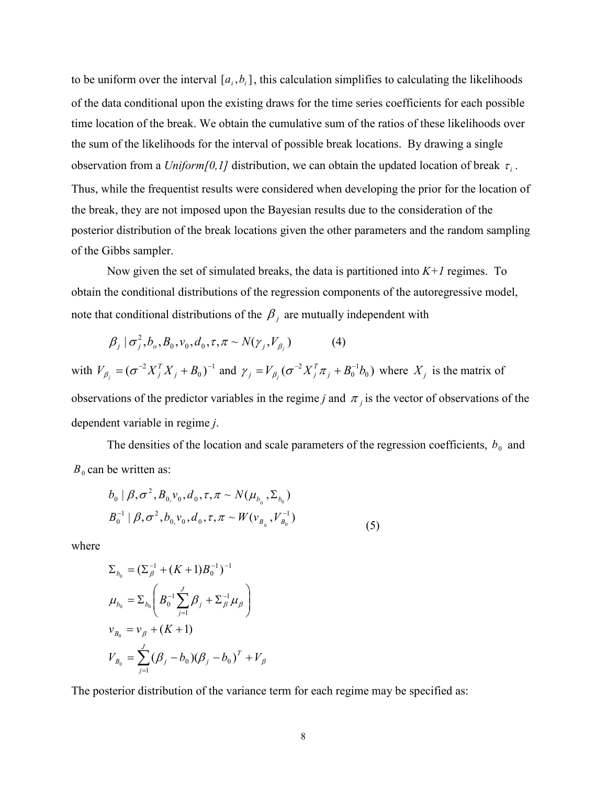to be uniform over the interval  $[a_i, b_i]$ , this calculation simplifies to calculating the likelihoods of the data conditional upon the existing draws for the time series coefficients for each possible time location of the break. We obtain the cumulative sum of the ratios of these likelihoods over the sum of the likelihoods for the interval of possible break locations. By drawing a single observation from a *Uniform*[0,1] distribution, we can obtain the updated location of break  $\tau_i$ . Thus, while the frequentist results were considered when developing the prior for the location of the break, they are not imposed upon the Bayesian results due to the consideration of the posterior distribution of the break locations given the other parameters and the random sampling of the Gibbs sampler.

 Now given the set of simulated breaks, the data is partitioned into *K+1* regimes. To obtain the conditional distributions of the regression components of the autoregressive model, note that conditional distributions of the  $\beta_j$  are mutually independent with

$$
\beta_j \mid \sigma_j^2, b_o, B_0, v_0, d_0, \tau, \pi \sim N(\gamma_j, V_{\beta_j})
$$
\n(4)

with  $V_{\beta_i} = (\sigma^{-2}X_i^TX_i + B_0)^{-1}$  and  $\gamma_i = V_{\beta_i}(\sigma^{-2}X_i^T\pi_i + B_0^{-1}b_0)$  where  $X_i$  is the matrix of observations of the predictor variables in the regime *j* and  $\pi_j$  is the vector of observations of the dependent variable in regime *j*.  $\boldsymbol{0}$  $V_{\beta_i} = (\sigma^{-2} X_j^T X_j + B_0)^{-1}$  $\gamma_{\beta_j} = (\sigma^{-2} X_j^T X_j + B_0)^{-1}$  and  $\gamma_j = V_{\beta_j} (\sigma^{-2} X_j^T \pi_j + B_0^{-1} b_0)$ 1  $V_{\beta_i}(\sigma^{-2}X_j^T\pi_j + B_0^{-1}b_j)$  $j = \int_{j}^{j}$   $\left(\frac{\partial}{\partial j} \mathbf{A} \right)$  $\gamma_j = V_{\beta_j} (\sigma^{-2} X_j^T \pi_j + B_0^{-1} b_0)$  where  $X_j$ 

The densities of the location and scale parameters of the regression coefficients,  $b_0$  and  $B_0$  can be written as:

$$
b_0 | \beta, \sigma^2, B_{0,} v_0, d_0, \tau, \pi \sim N(\mu_{b_0}, \Sigma_{b_0})
$$
  

$$
B_0^{-1} | \beta, \sigma^2, b_0, v_0, d_0, \tau, \pi \sim W(v_{B_0}, V_{B_0}^{-1})
$$
 (5)

where

$$
\Sigma_{b_0} = (\Sigma_{\beta}^{-1} + (K+1)B_0^{-1})^{-1}
$$
  
\n
$$
\mu_{b_0} = \Sigma_{b_0} \left( B_0^{-1} \sum_{j=1}^{J} \beta_j + \Sigma_{\beta}^{-1} \mu_{\beta} \right)
$$
  
\n
$$
v_{B_0} = v_{\beta} + (K+1)
$$
  
\n
$$
V_{B_0} = \sum_{j=1}^{J} (\beta_j - b_0)(\beta_j - b_0)^T + V_{\beta}
$$

The posterior distribution of the variance term for each regime may be specified as: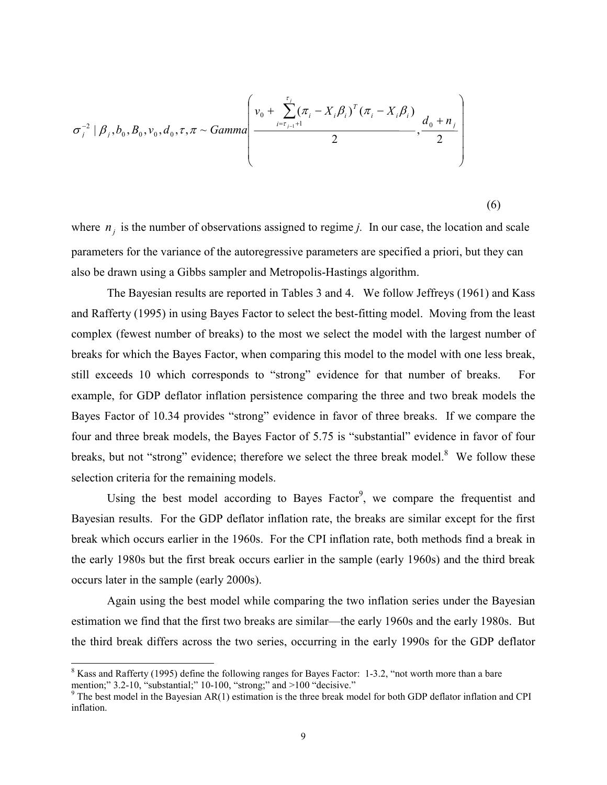$$
\sigma_{i}^{-2} | \beta_{i}, b_{0}, B_{0}, v_{0}, d_{0}, \tau, \pi \sim \text{Gamma} \left( \frac{v_{0} + \sum_{i=t_{j-1}+1}^{t_{j}} (\pi_{i} - X_{i} \beta_{i})^{T} (\pi_{i} - X_{i} \beta_{i})}{2}, \frac{d_{0} + n_{i}}{2} \right)
$$

(6)

where  $n_j$  is the number of observations assigned to regime *j*. In our case, the location and scale parameters for the variance of the autoregressive parameters are specified a priori, but they can also be drawn using a Gibbs sampler and Metropolis-Hastings algorithm.

The Bayesian results are reported in Tables 3 and 4. We follow Jeffreys (1961) and Kass and Rafferty (1995) in using Bayes Factor to select the best-fitting model. Moving from the least complex (fewest number of breaks) to the most we select the model with the largest number of breaks for which the Bayes Factor, when comparing this model to the model with one less break, still exceeds 10 which corresponds to "strong" evidence for that number of breaks. For example, for GDP deflator inflation persistence comparing the three and two break models the Bayes Factor of 10.34 provides "strong" evidence in favor of three breaks. If we compare the four and three break models, the Bayes Factor of 5.75 is "substantial" evidence in favor of four breaks, but not "strong" evidence; therefore we select the three break model.<sup>8</sup> We follow these selection criteria for the remaining models.

Using the best model according to Bayes Factor<sup>9</sup>, we compare the frequentist and Bayesian results. For the GDP deflator inflation rate, the breaks are similar except for the first break which occurs earlier in the 1960s. For the CPI inflation rate, both methods find a break in the early 1980s but the first break occurs earlier in the sample (early 1960s) and the third break occurs later in the sample (early 2000s).

Again using the best model while comparing the two inflation series under the Bayesian estimation we find that the first two breaks are similar—the early 1960s and the early 1980s. But the third break differs across the two series, occurring in the early 1990s for the GDP deflator

1

 $8$  Kass and Rafferty (1995) define the following ranges for Bayes Factor: 1-3.2, "not worth more than a bare mention;" 3.2-10, "substantial;" 10-100, "strong;" and >100 "decisive."<br><sup>9</sup> The best model in the Bayesian AR(1) estimation is the three break model for both GDP deflator inflation and CPI

inflation.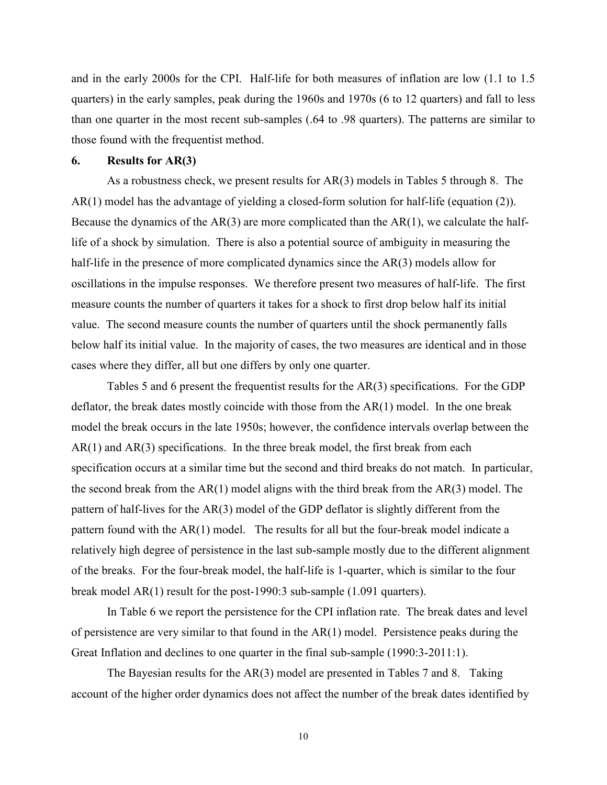and in the early 2000s for the CPI. Half-life for both measures of inflation are low (1.1 to 1.5 quarters) in the early samples, peak during the 1960s and 1970s (6 to 12 quarters) and fall to less than one quarter in the most recent sub-samples (.64 to .98 quarters). The patterns are similar to those found with the frequentist method.

#### **6. Results for AR(3)**

As a robustness check, we present results for AR(3) models in Tables 5 through 8. The AR(1) model has the advantage of yielding a closed-form solution for half-life (equation (2)). Because the dynamics of the  $AR(3)$  are more complicated than the  $AR(1)$ , we calculate the halflife of a shock by simulation. There is also a potential source of ambiguity in measuring the half-life in the presence of more complicated dynamics since the AR(3) models allow for oscillations in the impulse responses. We therefore present two measures of half-life. The first measure counts the number of quarters it takes for a shock to first drop below half its initial value. The second measure counts the number of quarters until the shock permanently falls below half its initial value. In the majority of cases, the two measures are identical and in those cases where they differ, all but one differs by only one quarter.

Tables 5 and 6 present the frequentist results for the AR(3) specifications. For the GDP deflator, the break dates mostly coincide with those from the AR(1) model. In the one break model the break occurs in the late 1950s; however, the confidence intervals overlap between the  $AR(1)$  and  $AR(3)$  specifications. In the three break model, the first break from each specification occurs at a similar time but the second and third breaks do not match. In particular, the second break from the AR(1) model aligns with the third break from the AR(3) model. The pattern of half-lives for the AR(3) model of the GDP deflator is slightly different from the pattern found with the AR(1) model. The results for all but the four-break model indicate a relatively high degree of persistence in the last sub-sample mostly due to the different alignment of the breaks. For the four-break model, the half-life is 1-quarter, which is similar to the four break model AR(1) result for the post-1990:3 sub-sample (1.091 quarters).

In Table 6 we report the persistence for the CPI inflation rate. The break dates and level of persistence are very similar to that found in the AR(1) model. Persistence peaks during the Great Inflation and declines to one quarter in the final sub-sample (1990:3-2011:1).

The Bayesian results for the AR(3) model are presented in Tables 7 and 8. Taking account of the higher order dynamics does not affect the number of the break dates identified by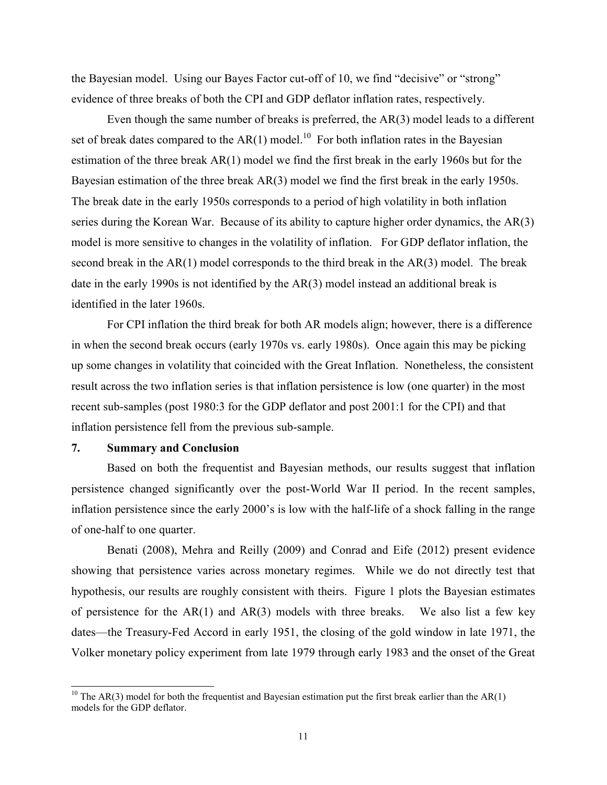the Bayesian model. Using our Bayes Factor cut-off of 10, we find "decisive" or "strong" evidence of three breaks of both the CPI and GDP deflator inflation rates, respectively.

Even though the same number of breaks is preferred, the AR(3) model leads to a different set of break dates compared to the AR(1) model.<sup>10</sup> For both inflation rates in the Bayesian estimation of the three break AR(1) model we find the first break in the early 1960s but for the Bayesian estimation of the three break AR(3) model we find the first break in the early 1950s. The break date in the early 1950s corresponds to a period of high volatility in both inflation series during the Korean War. Because of its ability to capture higher order dynamics, the AR(3) model is more sensitive to changes in the volatility of inflation. For GDP deflator inflation, the second break in the AR(1) model corresponds to the third break in the AR(3) model. The break date in the early 1990s is not identified by the AR(3) model instead an additional break is identified in the later 1960s.

For CPI inflation the third break for both AR models align; however, there is a difference in when the second break occurs (early 1970s vs. early 1980s). Once again this may be picking up some changes in volatility that coincided with the Great Inflation. Nonetheless, the consistent result across the two inflation series is that inflation persistence is low (one quarter) in the most recent sub-samples (post 1980:3 for the GDP deflator and post 2001:1 for the CPI) and that inflation persistence fell from the previous sub-sample.

#### **7. Summary and Conclusion**

-

 Based on both the frequentist and Bayesian methods, our results suggest that inflation persistence changed significantly over the post-World War II period. In the recent samples, inflation persistence since the early 2000's is low with the half-life of a shock falling in the range of one-half to one quarter.

Benati (2008), Mehra and Reilly (2009) and Conrad and Eife (2012) present evidence showing that persistence varies across monetary regimes. While we do not directly test that hypothesis, our results are roughly consistent with theirs. Figure 1 plots the Bayesian estimates of persistence for the  $AR(1)$  and  $AR(3)$  models with three breaks. We also list a few key dates—the Treasury-Fed Accord in early 1951, the closing of the gold window in late 1971, the Volker monetary policy experiment from late 1979 through early 1983 and the onset of the Great

<sup>&</sup>lt;sup>10</sup> The AR(3) model for both the frequentist and Bayesian estimation put the first break earlier than the AR(1) models for the GDP deflator.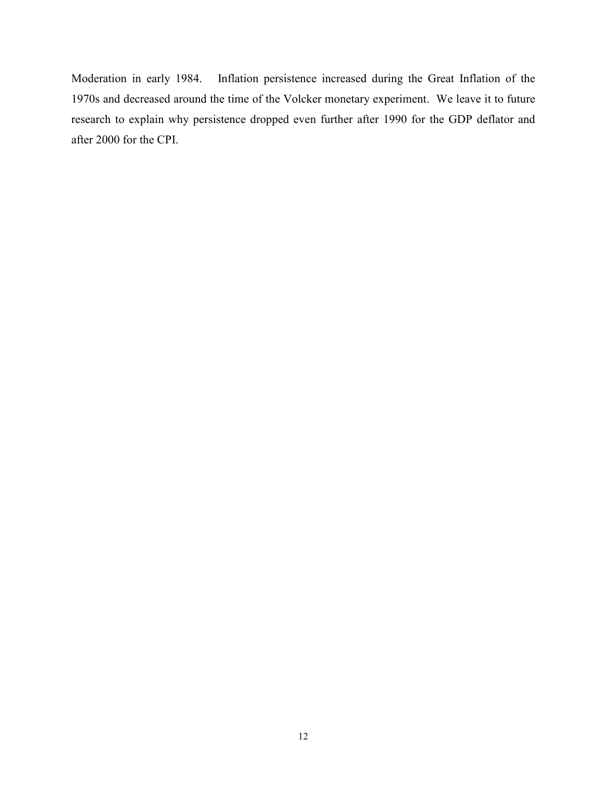Moderation in early 1984. Inflation persistence increased during the Great Inflation of the 1970s and decreased around the time of the Volcker monetary experiment. We leave it to future research to explain why persistence dropped even further after 1990 for the GDP deflator and after 2000 for the CPI.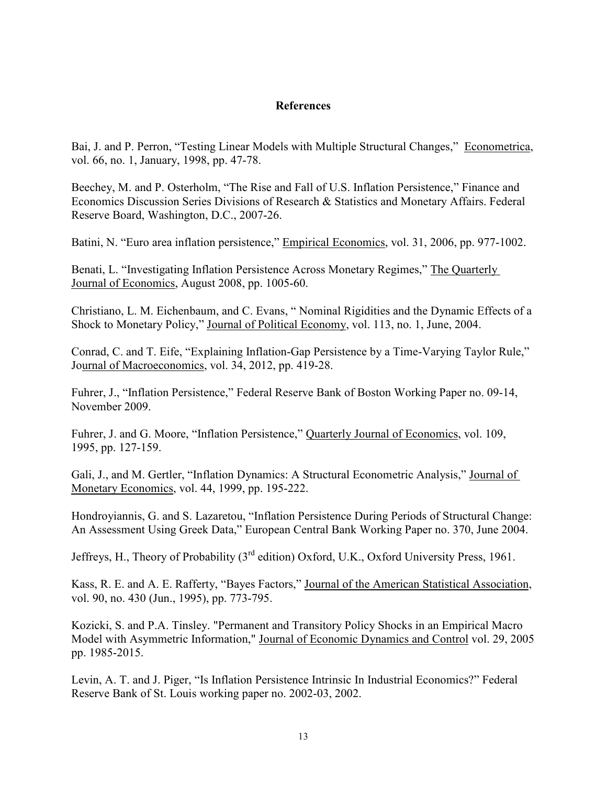# **References**

Bai, J. and P. Perron, "Testing Linear Models with Multiple Structural Changes," Econometrica, vol. 66, no. 1, January, 1998, pp. 47-78.

Beechey, M. and P. Osterholm, "The Rise and Fall of U.S. Inflation Persistence," Finance and Economics Discussion Series Divisions of Research & Statistics and Monetary Affairs. Federal Reserve Board, Washington, D.C., 2007-26.

Batini, N. "Euro area inflation persistence," Empirical Economics, vol. 31, 2006, pp. 977-1002.

Benati, L. "Investigating Inflation Persistence Across Monetary Regimes," The Quarterly Journal of Economics, August 2008, pp. 1005-60.

Christiano, L. M. Eichenbaum, and C. Evans, " Nominal Rigidities and the Dynamic Effects of a Shock to Monetary Policy," Journal of Political Economy, vol. 113, no. 1, June, 2004.

Conrad, C. and T. Eife, "Explaining Inflation-Gap Persistence by a Time-Varying Taylor Rule," Journal of Macroeconomics, vol. 34, 2012, pp. 419-28.

Fuhrer, J., "Inflation Persistence," Federal Reserve Bank of Boston Working Paper no. 09-14, November 2009.

Fuhrer, J. and G. Moore, "Inflation Persistence," Quarterly Journal of Economics, vol. 109, 1995, pp. 127-159.

Gali, J., and M. Gertler, "Inflation Dynamics: A Structural Econometric Analysis," Journal of Monetary Economics, vol. 44, 1999, pp. 195-222.

Hondroyiannis, G. and S. Lazaretou, "Inflation Persistence During Periods of Structural Change: An Assessment Using Greek Data," European Central Bank Working Paper no. 370, June 2004.

Jeffreys, H., Theory of Probability (3<sup>rd</sup> edition) Oxford, U.K., Oxford University Press, 1961.

Kass, R. E. and A. E. Rafferty, "Bayes Factors," Journal of the American Statistical Association, vol. 90, no. 430 (Jun., 1995), pp. 773-795.

Kozicki, S. and P.A. Tinsley. "Permanent and Transitory Policy Shocks in an Empirical Macro Model with Asymmetric Information," Journal of Economic Dynamics and Control vol. 29, 2005 pp. 1985-2015.

Levin, A. T. and J. Piger, "Is Inflation Persistence Intrinsic In Industrial Economics?" Federal Reserve Bank of St. Louis working paper no. 2002-03, 2002.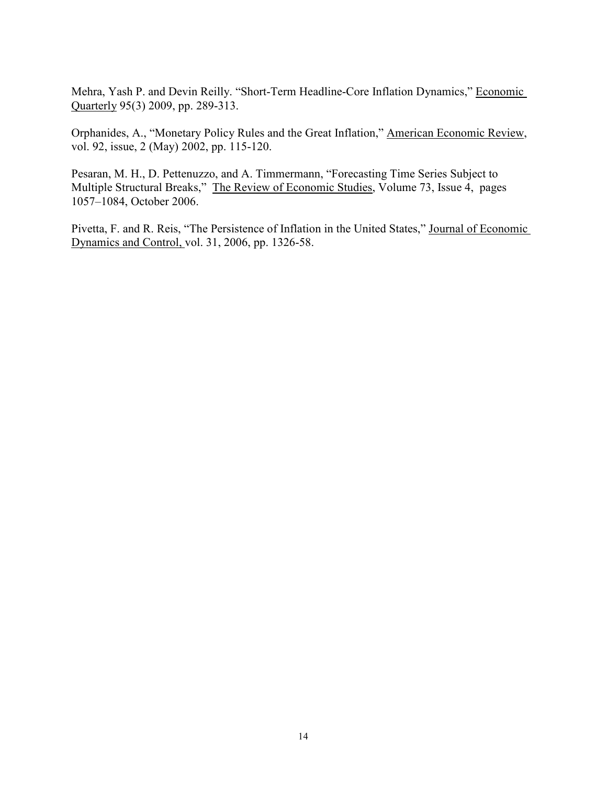Mehra, Yash P. and Devin Reilly. "Short-Term Headline-Core Inflation Dynamics," Economic Quarterly 95(3) 2009, pp. 289-313.

Orphanides, A., "Monetary Policy Rules and the Great Inflation," American Economic Review, vol. 92, issue, 2 (May) 2002, pp. 115-120.

Pesaran, M. H., D. Pettenuzzo, and A. Timmermann, "Forecasting Time Series Subject to Multiple Structural Breaks," The Review of Economic Studies, Volume 73, Issue 4, pages 1057–1084, October 2006.

Pivetta, F. and R. Reis, "The Persistence of Inflation in the United States," Journal of Economic Dynamics and Control, vol. 31, 2006, pp. 1326-58.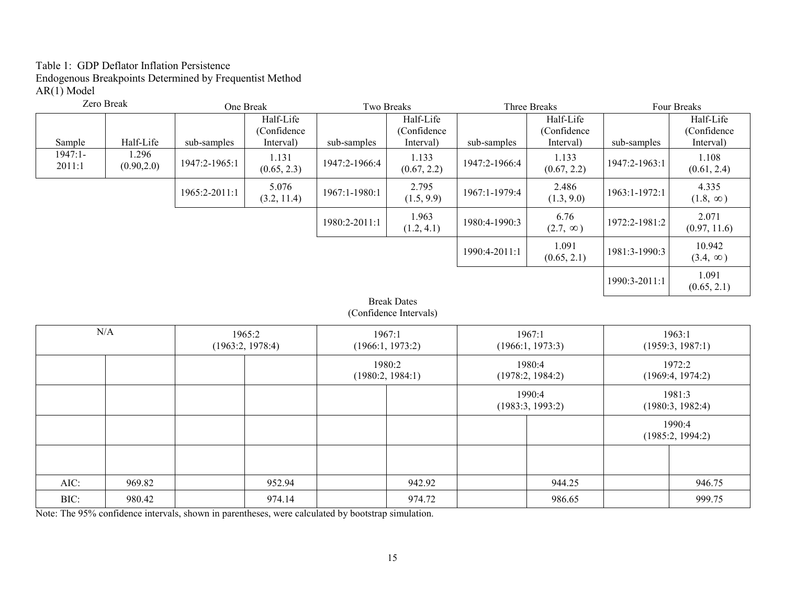# Table 1: GDP Deflator Inflation Persistence Endogenous Breakpoints Determined by Frequentist Method AR(1) Model

| Zero Break          |                      |               | One Break                             |               | Two Breaks                                   |               | Three Breaks                          | Four Breaks   |                                       |
|---------------------|----------------------|---------------|---------------------------------------|---------------|----------------------------------------------|---------------|---------------------------------------|---------------|---------------------------------------|
| Sample              | Half-Life            | sub-samples   | Half-Life<br>(Confidence<br>Interval) | sub-samples   | Half-Life<br>(Confidence)<br>Interval)       | sub-samples   | Half-Life<br>(Confidence<br>Interval) | sub-samples   | Half-Life<br>(Confidence<br>Interval) |
| $1947:1-$<br>2011:1 | 1.296<br>(0.90, 2.0) | 1947:2-1965:1 | 1.131<br>(0.65, 2.3)                  | 1947:2-1966:4 | 1.133<br>(0.67, 2.2)                         | 1947:2-1966:4 | 1.133<br>(0.67, 2.2)                  | 1947:2-1963:1 | 1.108<br>(0.61, 2.4)                  |
|                     |                      | 1965:2-2011:1 | 5.076<br>(3.2, 11.4)                  | 1967:1-1980:1 | 2.795<br>(1.5, 9.9)                          | 1967:1-1979:4 | 2.486<br>(1.3, 9.0)                   | 1963:1-1972:1 | 4.335<br>$(1.8, \infty)$              |
|                     |                      |               |                                       | 1980:2-2011:1 | 1.963<br>(1.2, 4.1)                          | 1980:4-1990:3 | 6.76<br>$(2.7, \infty)$               | 1972:2-1981:2 | 2.071<br>(0.97, 11.6)                 |
|                     |                      |               |                                       |               |                                              | 1990:4-2011:1 | 1.091<br>(0.65, 2.1)                  | 1981:3-1990:3 | 10.942<br>$(3.4, \infty)$             |
|                     |                      |               |                                       |               |                                              |               |                                       | 1990:3-2011:1 | 1.091<br>(0.65, 2.1)                  |
|                     |                      |               |                                       |               | <b>Break Dates</b><br>(Confidence Intervals) |               |                                       |               |                                       |
|                     | N/A                  |               | 1965:2<br>(1963:2, 1978:4)            |               | 1967:1<br>(1966:1, 1973:2)                   |               | 1967:1<br>(1966:1, 1973:3)            |               | 1963:1<br>(1959:3, 1987:1)            |
|                     |                      |               |                                       |               | 1980:2<br>(1980:2, 1984:1)                   |               | 1980:4<br>(1978:2, 1984:2)            |               | 1972:2<br>(1969:4, 1974:2)            |
|                     |                      |               |                                       |               |                                              |               | 1990:4<br>(1983:3, 1993:2)            |               | 1981:3<br>(1980:3, 1982:4)            |
|                     |                      |               |                                       |               |                                              |               |                                       |               | 1990:4<br>(1985:2, 1994:2)            |
|                     |                      |               |                                       |               |                                              |               |                                       |               |                                       |
| AIC:                | 969.82               |               | 952.94                                |               | 942.92                                       |               | 944.25                                |               | 946.75                                |
| BIC:                | 980.42               |               | 974.14                                |               | 974.72                                       |               | 986.65                                |               | 999.75                                |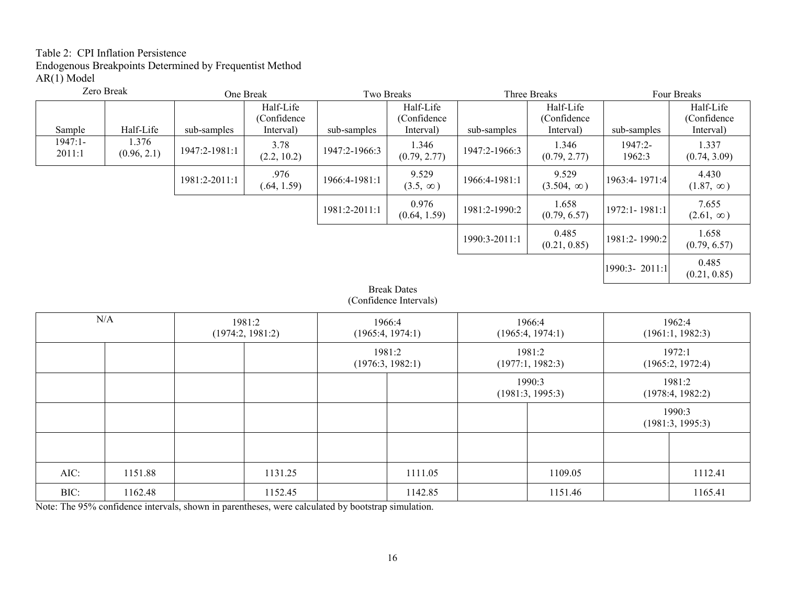# Table 2: CPI Inflation Persistence Endogenous Breakpoints Determined by Frequentist Method AR(1) Model

|                     | Zero Break           |               | One Break                              | Two Breaks    |                                        |               | Three Breaks                           |                     | Four Breaks                            |
|---------------------|----------------------|---------------|----------------------------------------|---------------|----------------------------------------|---------------|----------------------------------------|---------------------|----------------------------------------|
| Sample              | Half-Life            | sub-samples   | Half-Life<br>(Confidence)<br>Interval) | sub-samples   | Half-Life<br>(Confidence)<br>Interval) | sub-samples   | Half-Life<br>(Confidence)<br>Interval) | sub-samples         | Half-Life<br>(Confidence)<br>Interval) |
| $1947:1-$<br>2011:1 | 1.376<br>(0.96, 2.1) | 1947:2-1981:1 | 3.78<br>(2.2, 10.2)                    | 1947:2-1966:3 | 1.346<br>(0.79, 2.77)                  | 1947:2-1966:3 | 1.346<br>(0.79, 2.77)                  | $1947:2-$<br>1962:3 | 1.337<br>(0.74, 3.09)                  |
|                     |                      | 1981:2-2011:1 | .976<br>(.64, 1.59)                    | 1966:4-1981:1 | 9.529<br>$(3.5, \infty)$               | 1966:4-1981:1 | 9.529<br>$(3.504, \infty)$             | 1963:4-1971:4       | 4.430<br>$(1.87, \infty)$              |
|                     |                      |               |                                        | 1981:2-2011:1 | 0.976<br>(0.64, 1.59)                  | 1981:2-1990:2 | 1.658<br>(0.79, 6.57)                  | 1972:1-1981:1       | 7.655<br>$(2.61, \infty)$              |
|                     |                      |               |                                        |               |                                        | 1990:3-2011:1 | 0.485<br>(0.21, 0.85)                  | 1981:2-1990:2       | 1.658<br>(0.79, 6.57)                  |
|                     |                      |               |                                        |               |                                        |               |                                        | 1990:3-2011:1       | 0.485<br>(0.21, 0.85)                  |

Break Dates (Confidence Intervals)

|      | N/A     |  | 1981:2<br>(1974:2, 1981:2) |         | 1966:4<br>(1965:4, 1974:1) |  | 1966:4<br>(1965:4, 1974:1) |  | 1962:4<br>(1961:1, 1982:3) |
|------|---------|--|----------------------------|---------|----------------------------|--|----------------------------|--|----------------------------|
|      |         |  |                            |         | 1981:2<br>(1976:3, 1982:1) |  | 1981:2<br>(1977:1, 1982:3) |  | 1972:1<br>(1965:2, 1972:4) |
|      |         |  |                            |         |                            |  | 1990:3<br>(1981:3, 1995:3) |  | 1981:2<br>(1978:4, 1982:2) |
|      |         |  |                            |         |                            |  |                            |  | 1990:3<br>(1981:3, 1995:3) |
|      |         |  |                            |         |                            |  |                            |  |                            |
| AIC: | 1151.88 |  | 1131.25                    | 1111.05 |                            |  | 1109.05                    |  | 1112.41                    |
| BIC: | 1162.48 |  | 1152.45                    | 1142.85 |                            |  | 1151.46                    |  | 1165.41                    |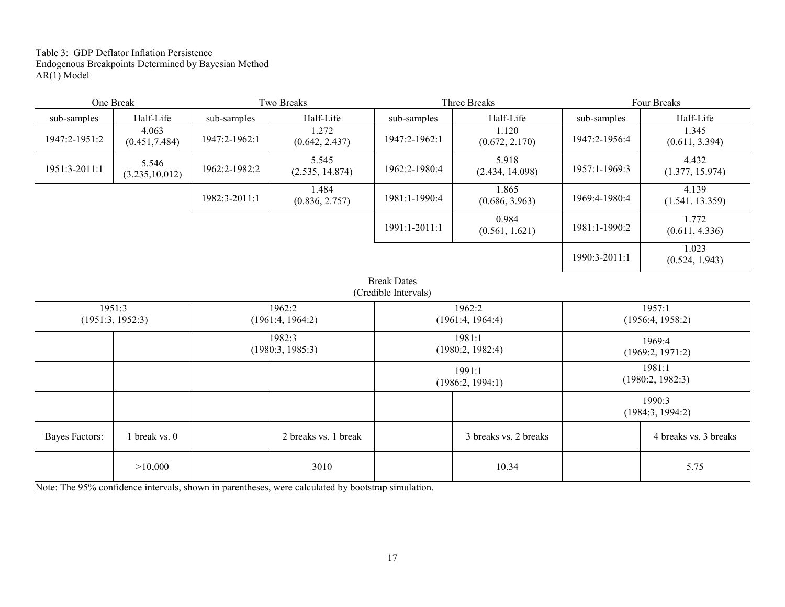Table 3: GDP Deflator Inflation Persistence Endogenous Breakpoints Determined by Bayesian Method AR(1) Model

|               | One Break                |               | Two Breaks               |                 | Three Breaks             | Four Breaks   |                          |  |  |
|---------------|--------------------------|---------------|--------------------------|-----------------|--------------------------|---------------|--------------------------|--|--|
| sub-samples   | Half-Life                | sub-samples   | Half-Life                | sub-samples     | Half-Life                | sub-samples   | Half-Life                |  |  |
| 1947:2-1951:2 | 4.063<br>(0.451, 7.484)  | 1947:2-1962:1 | 1.272<br>(0.642, 2.437)  | 1947:2-1962:1   | 1.120<br>(0.672, 2.170)  | 1947:2-1956:4 | 1.345<br>(0.611, 3.394)  |  |  |
| 1951:3-2011:1 | 5.546<br>(3.235, 10.012) | 1962:2-1982:2 | 5.545<br>(2.535, 14.874) | 1962:2-1980:4   | 5.918<br>(2.434, 14.098) | 1957:1-1969:3 | 4.432<br>(1.377, 15.974) |  |  |
|               |                          | 1982:3-2011:1 | 1.484<br>(0.836, 2.757)  | 1981:1-1990:4   | 1.865<br>(0.686, 3.963)  | 1969:4-1980:4 | 4.139<br>(1.541. 13.359) |  |  |
|               |                          |               |                          | $1991:1-2011:1$ | 0.984<br>(0.561, 1.621)  | 1981:1-1990:2 | 1.772<br>(0.611, 4.336)  |  |  |
|               |                          |               |                          |                 |                          | 1990:3-2011:1 | 1.023<br>(0.524, 1.943)  |  |  |

Break Dates (Credible Intervals)

|                | 1951:3           |  | 1962:2               |                  | 1962:2                |                  | 1957:1                |  |
|----------------|------------------|--|----------------------|------------------|-----------------------|------------------|-----------------------|--|
|                | (1951:3, 1952:3) |  | (1961:4, 1964:2)     |                  | (1961:4, 1964:4)      |                  | (1956:4, 1958:2)      |  |
|                |                  |  |                      |                  |                       |                  |                       |  |
|                |                  |  | 1982:3               |                  | 1981:1                |                  | 1969:4                |  |
|                |                  |  | (1980:3, 1985:3)     |                  | (1980:2, 1982:4)      |                  |                       |  |
|                |                  |  |                      |                  |                       |                  | (1969:2, 1971:2)      |  |
|                |                  |  |                      |                  | 1991:1                | 1981:1           |                       |  |
|                |                  |  |                      |                  |                       | (1980:2, 1982:3) |                       |  |
|                |                  |  |                      | (1986:2, 1994:1) |                       |                  |                       |  |
|                |                  |  |                      |                  |                       |                  | 1990:3                |  |
|                |                  |  |                      |                  |                       |                  |                       |  |
|                |                  |  |                      |                  |                       |                  | (1984:3, 1994:2)      |  |
|                |                  |  |                      |                  |                       |                  |                       |  |
| Bayes Factors: | 1 break vs. 0    |  | 2 breaks vs. 1 break |                  | 3 breaks vs. 2 breaks |                  | 4 breaks vs. 3 breaks |  |
|                |                  |  |                      |                  |                       |                  |                       |  |
|                |                  |  |                      |                  |                       |                  |                       |  |
|                | >10,000          |  | 3010                 |                  | 10.34                 |                  | 5.75                  |  |
|                |                  |  |                      |                  |                       |                  |                       |  |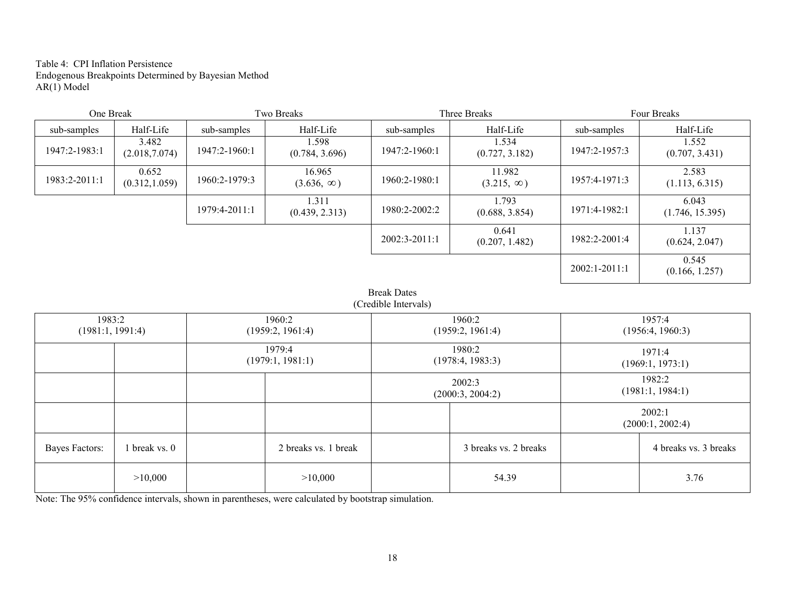Table 4: CPI Inflation Persistence Endogenous Breakpoints Determined by Bayesian Method AR(1) Model

| One Break     |                         |               | Two Breaks                  |                 | Three Breaks                | Four Breaks     |                          |  |  |
|---------------|-------------------------|---------------|-----------------------------|-----------------|-----------------------------|-----------------|--------------------------|--|--|
| sub-samples   | Half-Life               | sub-samples   | Half-Life                   | sub-samples     | Half-Life                   | sub-samples     | Half-Life                |  |  |
| 1947:2-1983:1 | 3.482<br>(2.018, 7.074) | 1947:2-1960:1 | 1.598<br>(0.784, 3.696)     | 1947:2-1960:1   | 1.534<br>(0.727, 3.182)     | 1947:2-1957:3   | 1.552<br>(0.707, 3.431)  |  |  |
| 1983:2-2011:1 | 0.652<br>(0.312, 1.059) | 1960:2-1979:3 | 16.965<br>$(3.636, \infty)$ | 1960:2-1980:1   | 11.982<br>$(3.215, \infty)$ | 1957:4-1971:3   | 2.583<br>(1.113, 6.315)  |  |  |
|               |                         | 1979:4-2011:1 | 1.311<br>(0.439, 2.313)     | 1980:2-2002:2   | 1.793<br>(0.688, 3.854)     | 1971:4-1982:1   | 6.043<br>(1.746, 15.395) |  |  |
|               |                         |               |                             | $2002:3-2011:1$ | 0.641<br>(0.207, 1.482)     | 1982:2-2001:4   | 1.137<br>(0.624, 2.047)  |  |  |
|               |                         |               |                             |                 |                             | $2002:1-2011:1$ | 0.545<br>(0.166, 1.257)  |  |  |

Break Dates (Credible Intervals)

| 1983:2<br>(1981:1, 1991:4) |             |         | 1960:2<br>(1959:2, 1961:4) |                       | 1960:2<br>(1959:2, 1961:4) | 1957:4<br>(1956:4, 1960:3) |                            |  |
|----------------------------|-------------|---------|----------------------------|-----------------------|----------------------------|----------------------------|----------------------------|--|
|                            |             |         | 1979:4<br>(1979:1, 1981:1) |                       | 1980:2<br>(1978:4, 1983:3) | 1971:4<br>(1969:1, 1973:1) |                            |  |
|                            |             |         |                            |                       | 2002:3<br>(2000:3, 2004:2) | 1982:2<br>(1981:1, 1984:1) |                            |  |
|                            |             |         |                            |                       |                            |                            | 2002:1<br>(2000:1, 2002:4) |  |
| <b>Bayes Factors:</b>      | break vs. 0 |         | 2 breaks vs. 1 break       | 3 breaks vs. 2 breaks |                            | 4 breaks vs. 3 breaks      |                            |  |
| >10,000                    |             | >10,000 |                            | 54.39                 |                            |                            | 3.76                       |  |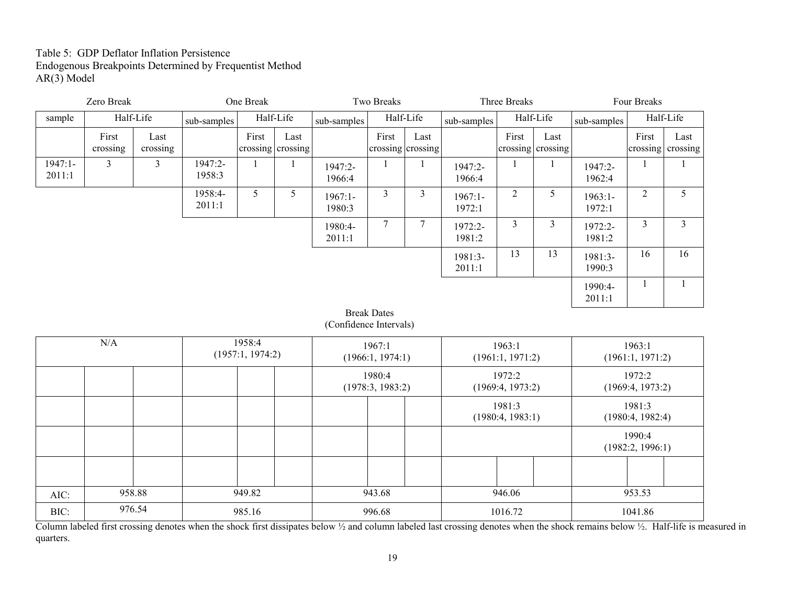# Table 5: GDP Deflator Inflation Persistence Endogenous Breakpoints Determined by Frequentist Method  $AR(3)$  Model

| Zero Break          |                                       | One Break        |                   |                            | Two Breaks                |                        |                            | Three Breaks              |                     |                            | Four Breaks               |                     |                            |                           |
|---------------------|---------------------------------------|------------------|-------------------|----------------------------|---------------------------|------------------------|----------------------------|---------------------------|---------------------|----------------------------|---------------------------|---------------------|----------------------------|---------------------------|
| sample              | Half-Life                             |                  | sub-samples       | Half-Life                  |                           | sub-samples            | Half-Life                  |                           | sub-samples         |                            | Half-Life                 | sub-samples         |                            | Half-Life                 |
|                     | First<br>crossing                     | Last<br>crossing |                   | First                      | Last<br>crossing crossing |                        | First                      | Last<br>crossing crossing |                     | First                      | Last<br>crossing crossing |                     | First                      | Last<br>crossing crossing |
| $1947:1-$<br>2011:1 | $\overline{3}$                        | $\overline{3}$   | 1947:2-<br>1958:3 | -1                         | 1                         | 1947:2-<br>1966:4      | -1                         | 1                         | 1947:2-<br>1966:4   | -1                         | $\mathbf{1}$              | 1947:2-<br>1962:4   | -1                         |                           |
|                     |                                       |                  | 1958:4-<br>2011:1 | 5                          | 5                         | $1967:1-$<br>1980:3    | $\overline{3}$             | $\overline{3}$            | $1967:1-$<br>1972:1 | $\overline{2}$             | 5                         | $1963:1-$<br>1972:1 | $\overline{2}$             | 5                         |
|                     |                                       |                  |                   |                            |                           | 1980:4-<br>2011:1      | $\overline{7}$             | $\tau$                    | 1972:2-<br>1981:2   | $\overline{3}$             | $\overline{3}$            | 1972:2-<br>1981:2   | $\mathfrak{Z}$             | $\overline{3}$            |
|                     |                                       |                  |                   |                            |                           |                        |                            |                           | 1981:3-<br>2011:1   | 13                         | 13                        | 1981:3-<br>1990:3   | 16                         | 16                        |
|                     |                                       |                  |                   |                            |                           |                        |                            |                           |                     |                            |                           | 1990:4-<br>2011:1   | $\mathbf{1}$               | 1                         |
|                     |                                       |                  |                   |                            |                           | (Confidence Intervals) | <b>Break Dates</b>         |                           |                     |                            |                           |                     |                            |                           |
|                     | $\rm N/A$                             |                  |                   | 1958:4<br>(1957:1, 1974:2) |                           |                        | 1967:1<br>(1966:1, 1974:1) |                           |                     | 1963:1<br>(1961:1, 1971:2) |                           |                     | 1963:1<br>(1961:1, 1971:2) |                           |
|                     |                                       |                  |                   |                            |                           |                        | 1980:4<br>(1978:3, 1983:2) |                           |                     | 1972:2<br>(1969:4, 1973:2) |                           |                     | 1972:2<br>(1969:4, 1973:2) |                           |
|                     |                                       |                  |                   |                            |                           |                        |                            |                           |                     | 1981:3<br>(1980:4, 1983:1) |                           |                     | 1981:3<br>(1980:4, 1982:4) |                           |
|                     |                                       |                  |                   |                            |                           |                        |                            |                           |                     |                            |                           |                     | 1990:4<br>(1982:2, 1996:1) |                           |
|                     |                                       |                  |                   |                            |                           |                        |                            |                           |                     |                            |                           |                     |                            |                           |
| AIC:                |                                       | 958.88           |                   | 949.82                     |                           | 943.68                 |                            | 946.06                    |                     |                            | 953.53                    |                     |                            |                           |
| BIC:                | 976.54<br>985.16<br>996.68<br>1016.72 |                  |                   |                            |                           | 1041.86                |                            |                           |                     |                            |                           |                     |                            |                           |

Column labeled first crossing denotes when the shock first dissipates below ½ and column labeled last crossing denotes when the shock remains below ½. Half-life is measured in quarters.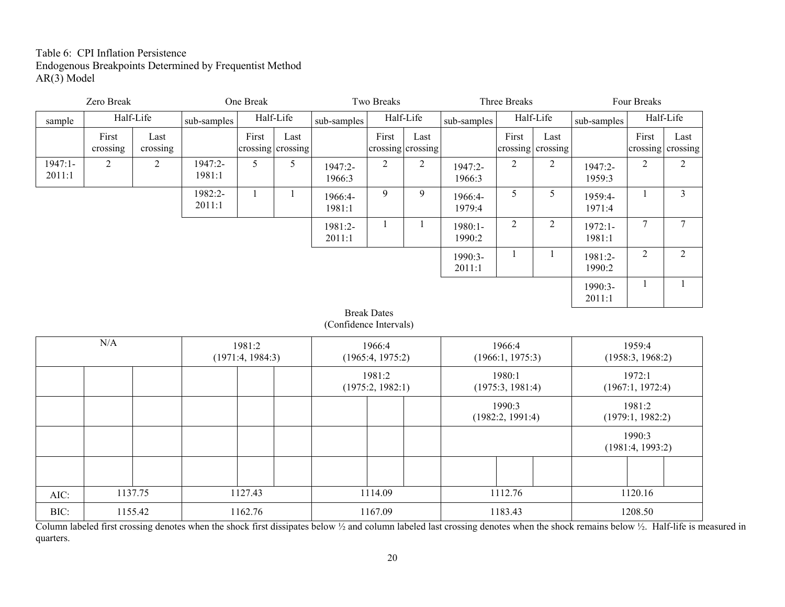# Table 6: CPI Inflation Persistence Endogenous Breakpoints Determined by Frequentist Method  $AR(3)$  Model

| Zero Break          |                   | One Break        |                   |                            | Two Breaks                |                        |                            | Three Breaks   |                     |                            | Four Breaks               |                     |                            |                  |
|---------------------|-------------------|------------------|-------------------|----------------------------|---------------------------|------------------------|----------------------------|----------------|---------------------|----------------------------|---------------------------|---------------------|----------------------------|------------------|
| sample              |                   | Half-Life        | sub-samples       | Half-Life                  |                           | sub-samples            | Half-Life                  |                | sub-samples         |                            | Half-Life                 | sub-samples         |                            | Half-Life        |
|                     | First<br>crossing | Last<br>crossing |                   | First                      | Last<br>crossing crossing |                        | First<br>crossing crossing | Last           |                     | First                      | Last<br>crossing crossing |                     | First<br>crossing          | Last<br>crossing |
| $1947:1-$<br>2011:1 | $\overline{2}$    | $\overline{2}$   | 1947:2-<br>1981:1 | 5                          | 5                         | 1947:2-<br>1966:3      | $\overline{2}$             | $\overline{2}$ | 1947:2-<br>1966:3   | $\overline{2}$             | $\overline{2}$            | 1947:2-<br>1959:3   | $\overline{2}$             | $\overline{2}$   |
|                     |                   |                  | 1982:2-<br>2011:1 | $\mathbf{1}$               | $\mathbf{1}$              | 1966:4-<br>1981:1      | 9                          | 9              | 1966:4-<br>1979:4   | 5                          | $\mathfrak{S}$            | 1959:4-<br>1971:4   | $\mathbf{1}$               | $\mathfrak{Z}$   |
|                     |                   |                  |                   |                            |                           | 1981:2-<br>2011:1      | 1                          | $\mathbf{1}$   | $1980:1-$<br>1990:2 | $\overline{2}$             | $\overline{2}$            | $1972:1-$<br>1981:1 | $7\phantom{.}$             | $\overline{7}$   |
|                     |                   |                  |                   |                            |                           |                        |                            |                | 1990:3-<br>2011:1   | $\mathbf{1}$               | -1                        | 1981:2-<br>1990:2   | $\overline{2}$             | $\overline{2}$   |
|                     |                   |                  |                   |                            |                           |                        |                            |                |                     |                            |                           | 1990:3-<br>2011:1   | 1                          | $\mathbf{1}$     |
|                     |                   |                  |                   |                            |                           | (Confidence Intervals) | <b>Break Dates</b>         |                |                     |                            |                           |                     |                            |                  |
|                     | $\rm N/A$         |                  |                   | 1981:2<br>(1971:4, 1984:3) |                           |                        | 1966:4<br>(1965:4, 1975:2) |                |                     | 1966:4<br>(1966:1, 1975:3) |                           |                     | 1959:4<br>(1958:3, 1968:2) |                  |
|                     |                   |                  |                   |                            |                           |                        | 1981:2<br>(1975:2, 1982:1) |                |                     | 1980:1<br>(1975:3, 1981:4) |                           |                     | 1972:1<br>(1967:1, 1972:4) |                  |
|                     |                   |                  |                   |                            |                           |                        |                            |                |                     | 1990:3<br>(1982:2, 1991:4) |                           |                     | 1981:2<br>(1979:1, 1982:2) |                  |
|                     |                   |                  |                   |                            |                           |                        |                            |                |                     |                            |                           |                     | 1990:3<br>(1981:4, 1993:2) |                  |
|                     |                   |                  |                   |                            |                           |                        |                            |                |                     |                            |                           |                     |                            |                  |
| AIC:                |                   | 1137.75          |                   | 1127.43                    |                           |                        | 1114.09                    |                |                     | 1112.76                    |                           |                     | 1120.16                    |                  |
| BIC:                |                   | 1155.42          |                   | 1162.76                    |                           |                        | 1167.09                    |                |                     | 1183.43                    |                           |                     | 1208.50                    |                  |

Column labeled first crossing denotes when the shock first dissipates below ½ and column labeled last crossing denotes when the shock remains below ½. Half-life is measured in quarters.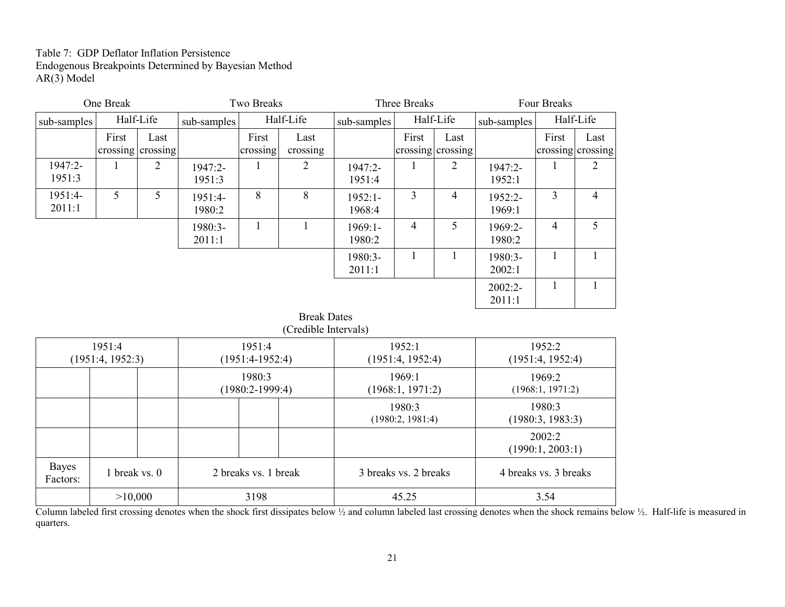# Table 7: GDP Deflator Inflation Persistence Endogenous Breakpoints Determined by Bayesian Method AR(3) Model

|                                                                                            | One Break                              |                           |                   | <b>Two Breaks</b>           |                                            |                     | Three Breaks               |                           | Four Breaks                |                            |                           |
|--------------------------------------------------------------------------------------------|----------------------------------------|---------------------------|-------------------|-----------------------------|--------------------------------------------|---------------------|----------------------------|---------------------------|----------------------------|----------------------------|---------------------------|
| sub-samples                                                                                |                                        | Half-Life                 | sub-samples       |                             | Half-Life                                  | sub-samples         |                            | Half-Life                 | sub-samples                |                            | Half-Life                 |
|                                                                                            | First                                  | Last<br>crossing crossing |                   | First<br>crossing           | Last<br>crossing                           |                     | First                      | Last<br>crossing crossing |                            | First                      | Last<br>crossing crossing |
| 1947:2-<br>1951:3                                                                          | $\mathbf{1}$                           | 2                         | 1947:2-<br>1951:3 |                             | $\overline{2}$                             | 1947:2-<br>1951:4   |                            | $\overline{2}$            | 1947:2-<br>1952:1          |                            | $\overline{2}$            |
| 1951:4-<br>2011:1                                                                          | 5                                      | 5                         | 1951:4-<br>1980:2 | 8                           | 8                                          | $1952:1-$<br>1968:4 | 3                          | 4                         | 1952:2-<br>1969:1          | $\overline{3}$             | $\overline{4}$            |
|                                                                                            |                                        |                           | 1980:3-<br>2011:1 | $\mathbf{1}$                | $\mathbf{1}$                               | $1969:1-$<br>1980:2 | $\overline{4}$             | 5                         | 1969:2-<br>1980:2          | $\overline{4}$             | 5                         |
|                                                                                            | $\mathbf{1}$<br>1<br>1980:3-<br>2011:1 |                           |                   |                             |                                            |                     |                            |                           |                            | 1                          | $\mathbf{1}$              |
|                                                                                            |                                        |                           |                   |                             |                                            |                     |                            |                           | 2002:2-<br>2011:1          | 1                          | 1                         |
|                                                                                            |                                        |                           |                   |                             | <b>Break Dates</b><br>(Credible Intervals) |                     |                            |                           |                            |                            |                           |
|                                                                                            | 1951:4<br>(1951:4, 1952:3)             |                           |                   | 1951:4<br>$(1951:4-1952:4)$ |                                            |                     | 1952:1<br>(1951:4, 1952:4) |                           |                            | 1952:2<br>(1951:4, 1952:4) |                           |
| 1980:3<br>$(1980:2-1999:4)$                                                                |                                        |                           |                   |                             |                                            |                     | 1969:1<br>(1968:1, 1971:2) |                           | 1969:2<br>(1968:1, 1971:2) |                            |                           |
|                                                                                            |                                        |                           |                   |                             |                                            |                     | 1980:3<br>(1980:2, 1981:4) |                           |                            | 1980:3<br>(1980:3, 1983:3) |                           |
|                                                                                            |                                        |                           |                   |                             |                                            |                     |                            |                           | 2002:2<br>(1990:1, 2003:1) |                            |                           |
| <b>Bayes</b><br>1 break vs. 0<br>2 breaks vs. 1 break<br>3 breaks vs. 2 breaks<br>Factors: |                                        |                           |                   |                             |                                            |                     |                            | 4 breaks vs. 3 breaks     |                            |                            |                           |

 $\vert$  >10,000  $\vert$  3198  $\vert$  45.25 3.54

Column labeled first crossing denotes when the shock first dissipates below ½ and column labeled last crossing denotes when the shock remains below ½. Half-life is measured in quarters.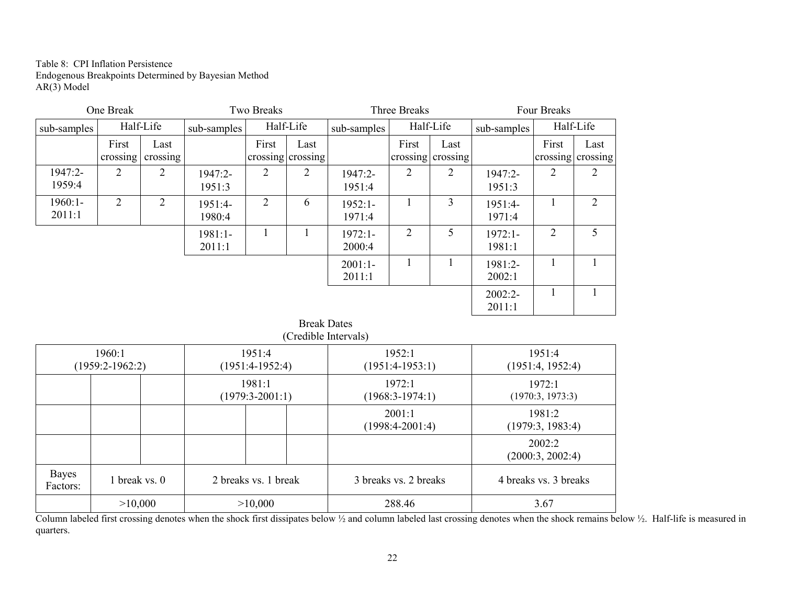Table 8: CPI Inflation Persistence Endogenous Breakpoints Determined by Bayesian Method  $AR(3)$  Model

|                     | One Break                                  |                  |                     | Two Breaks     |                           |                     | Three Breaks   |                           | Four Breaks         |                |                           |
|---------------------|--------------------------------------------|------------------|---------------------|----------------|---------------------------|---------------------|----------------|---------------------------|---------------------|----------------|---------------------------|
| sub-samples         |                                            | Half-Life        | sub-samples         |                | Half-Life                 | sub-samples         |                | Half-Life                 | sub-samples         |                | Half-Life                 |
|                     | First<br>crossing                          | Last<br>crossing |                     | First          | Last<br>crossing crossing |                     | First          | Last<br>crossing crossing |                     | First          | Last<br>crossing crossing |
| 1947:2-<br>1959:4   | 2                                          | $\overline{2}$   | 1947:2-<br>1951:3   | $\overline{2}$ | 2                         | 1947:2-<br>1951:4   | $\overline{2}$ | 2                         | 1947:2-<br>1951:3   | 2              | $\overline{2}$            |
| $1960:1-$<br>2011:1 | 2                                          | $\overline{2}$   | 1951:4-<br>1980:4   | 2              | 6                         | $1952:1-$<br>1971:4 | $\mathbf{1}$   | 3                         | 1951:4-<br>1971:4   | 1              | $\overline{2}$            |
|                     |                                            |                  | $1981:1-$<br>2011:1 | 1              | 1                         | $1972:1-$<br>2000:4 | $\overline{2}$ | 5                         | $1972:1-$<br>1981:1 | $\overline{2}$ | 5                         |
|                     |                                            |                  |                     |                |                           | $2001:1-$<br>2011:1 | 1              |                           | 1981:2-<br>2002:1   | 1              | 1                         |
|                     |                                            |                  |                     |                |                           |                     |                |                           | $2002:2-$<br>2011:1 |                | 1                         |
|                     | <b>Break Dates</b><br>(Credible Intervals) |                  |                     |                |                           |                     |                |                           |                     |                |                           |
|                     | $1960-1$                                   |                  |                     | $1951 - 4$     |                           | 1952.1              |                |                           | $1951 - 4$          |                |                           |

|                   | 1960:1<br>$(1959:2-1962:2)$ | 1951:4<br>$(1951:4-1952:4)$ | 1952:1<br>$(1951:4-1953:1)$         | 1951:4<br>(1951:4, 1952:4) |
|-------------------|-----------------------------|-----------------------------|-------------------------------------|----------------------------|
|                   |                             | 1981:1<br>$(1979:3-2001:1)$ | $1972 \cdot 1$<br>$(1968:3-1974:1)$ | 1972:1<br>(1970:3, 1973:3) |
|                   |                             |                             | 2001:1<br>$(1998:4-2001:4)$         | 1981:2<br>(1979:3, 1983:4) |
|                   |                             |                             |                                     | 2002:2<br>(2000:3, 2002:4) |
| Bayes<br>Factors: | 1 break vs. 0               | 2 breaks vs. 1 break        | 3 breaks vs. 2 breaks               | 4 breaks vs. 3 breaks      |
|                   | >10,000                     | >10,000                     | 288.46                              | 3.67                       |

 $\frac{>10,000}{\text{Column labeled first crossing denotes when the shock first dissipates below }\frac{288.46}{\text{Volume labeled last crossing denotes when the shock remains below }\frac{3.67}{\text{Value of the body.}$  Half-life is measured in quarters.